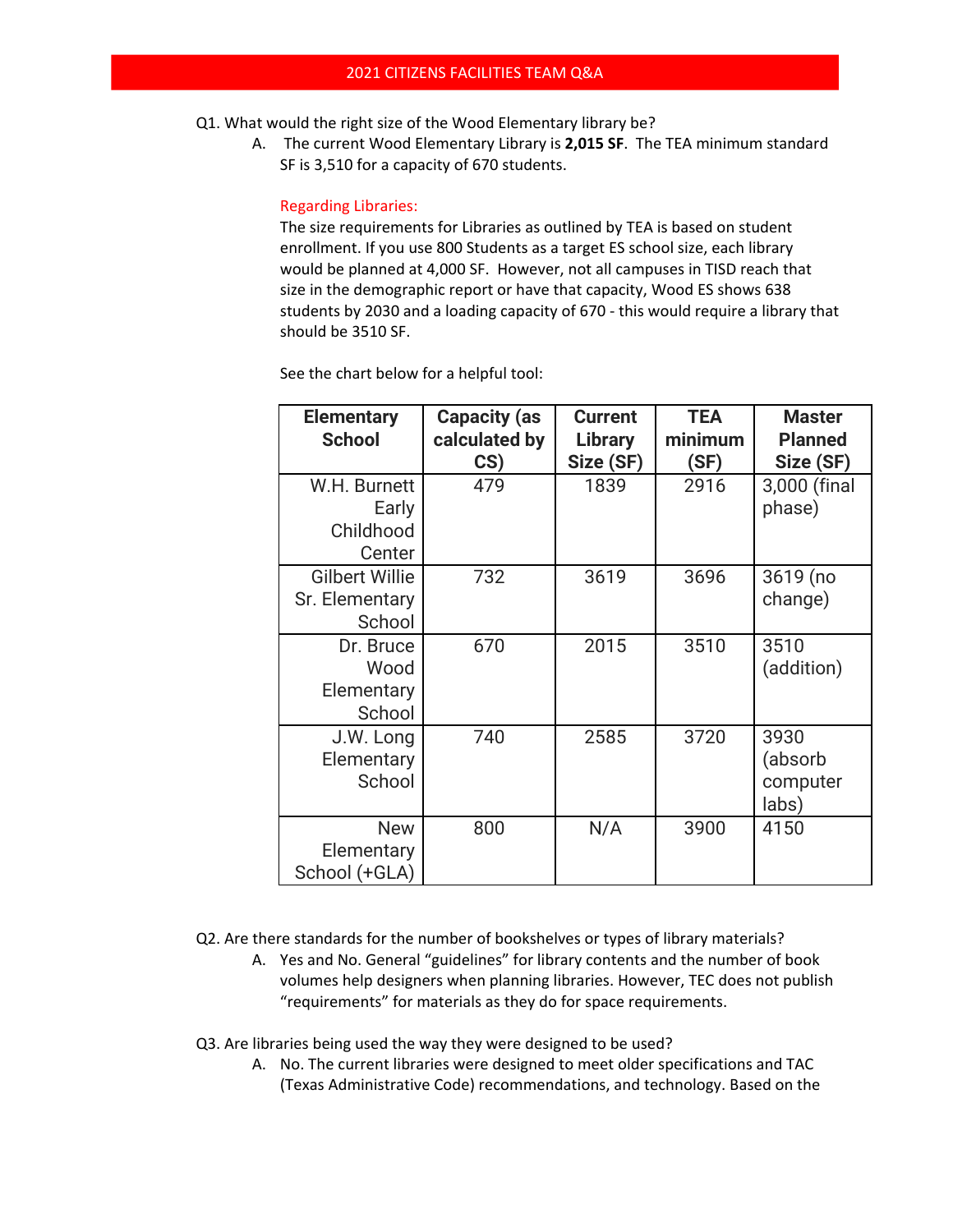- Q1. What would the right size of the Wood Elementary library be?
	- A. The current Wood Elementary Library is **2,015 SF**. The TEA minimum standard SF is 3,510 for a capacity of 670 students.

Regarding Libraries:

The size requirements for Libraries as outlined by TEA is based on student enrollment. If you use 800 Students as a target ES school size, each library would be planned at 4,000 SF. However, not all campuses in TISD reach that size in the demographic report or have that capacity, Wood ES shows 638 students by 2030 and a loading capacity of 670 ‐ this would require a library that should be 3510 SF.

See the chart below for a helpful tool:

| <b>Elementary</b><br><b>School</b>                | <b>Capacity (as</b><br>calculated by<br>CS) | <b>Current</b><br>Library<br>Size (SF) | <b>TEA</b><br>minimum<br>(SF) | <b>Master</b><br><b>Planned</b><br>Size (SF) |
|---------------------------------------------------|---------------------------------------------|----------------------------------------|-------------------------------|----------------------------------------------|
| W.H. Burnett<br>Early<br>Childhood<br>Center      | 479                                         | 1839                                   | 2916                          | 3,000 (final<br>phase)                       |
| <b>Gilbert Willie</b><br>Sr. Elementary<br>School | 732                                         | 3619                                   | 3696                          | $3619$ (no<br>change)                        |
| Dr. Bruce<br>Wood<br>Elementary<br>School         | 670                                         | 2015                                   | 3510                          | 3510<br>(addition)                           |
| J.W. Long<br>Elementary<br>School                 | 740                                         | 2585                                   | 3720                          | 3930<br>(absorb<br>computer<br>labs)         |
| <b>New</b><br>Elementary<br>School (+GLA)         | 800                                         | N/A                                    | 3900                          | 4150                                         |

Q2. Are there standards for the number of bookshelves or types of library materials?

A. Yes and No. General "guidelines" for library contents and the number of book volumes help designers when planning libraries. However, TEC does not publish "requirements" for materials as they do for space requirements.

Q3. Are libraries being used the way they were designed to be used?

A. No. The current libraries were designed to meet older specifications and TAC (Texas Administrative Code) recommendations, and technology. Based on the